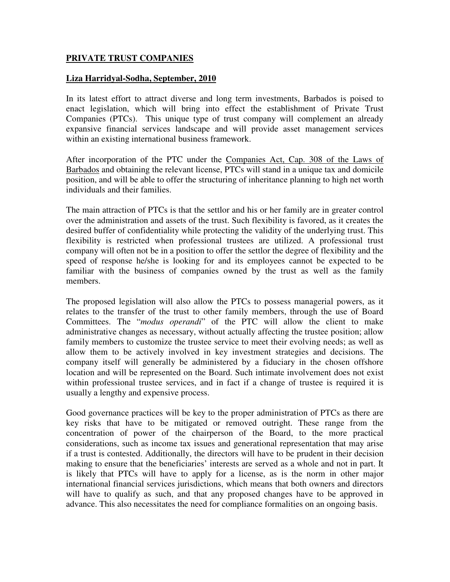## **PRIVATE TRUST COMPANIES**

## **Liza Harridyal-Sodha, September, 2010**

In its latest effort to attract diverse and long term investments, Barbados is poised to enact legislation, which will bring into effect the establishment of Private Trust Companies (PTCs). This unique type of trust company will complement an already expansive financial services landscape and will provide asset management services within an existing international business framework.

After incorporation of the PTC under the Companies Act, Cap. 308 of the Laws of Barbados and obtaining the relevant license, PTCs will stand in a unique tax and domicile position, and will be able to offer the structuring of inheritance planning to high net worth individuals and their families.

The main attraction of PTCs is that the settlor and his or her family are in greater control over the administration and assets of the trust. Such flexibility is favored, as it creates the desired buffer of confidentiality while protecting the validity of the underlying trust. This flexibility is restricted when professional trustees are utilized. A professional trust company will often not be in a position to offer the settlor the degree of flexibility and the speed of response he/she is looking for and its employees cannot be expected to be familiar with the business of companies owned by the trust as well as the family members.

The proposed legislation will also allow the PTCs to possess managerial powers, as it relates to the transfer of the trust to other family members, through the use of Board Committees. The "*modus operandi*" of the PTC will allow the client to make administrative changes as necessary, without actually affecting the trustee position; allow family members to customize the trustee service to meet their evolving needs; as well as allow them to be actively involved in key investment strategies and decisions. The company itself will generally be administered by a fiduciary in the chosen offshore location and will be represented on the Board. Such intimate involvement does not exist within professional trustee services, and in fact if a change of trustee is required it is usually a lengthy and expensive process.

Good governance practices will be key to the proper administration of PTCs as there are key risks that have to be mitigated or removed outright. These range from the concentration of power of the chairperson of the Board, to the more practical considerations, such as income tax issues and generational representation that may arise if a trust is contested. Additionally, the directors will have to be prudent in their decision making to ensure that the beneficiaries' interests are served as a whole and not in part. It is likely that PTCs will have to apply for a license, as is the norm in other major international financial services jurisdictions, which means that both owners and directors will have to qualify as such, and that any proposed changes have to be approved in advance. This also necessitates the need for compliance formalities on an ongoing basis.